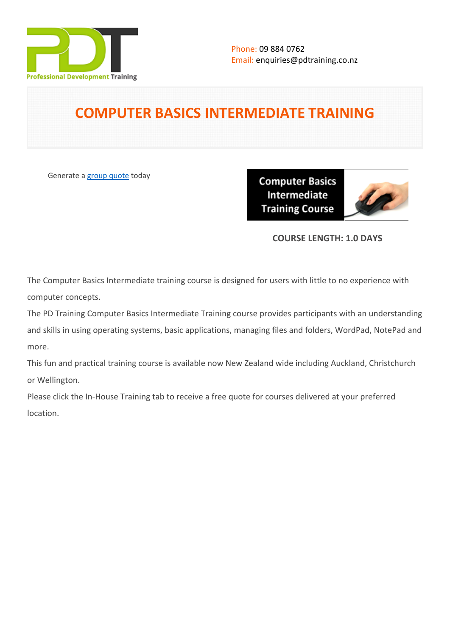

# **COMPUTER BASICS INTERMEDIATE TRAINING**

Generate a [group quote](https://pdtraining.co.nz/inhouse-training-quote?cse=PDU00038) today

**Computer Basics** Intermediate **Training Course** 



## **COURSE LENGTH: 1.0 DAYS**

The Computer Basics Intermediate training course is designed for users with little to no experience with computer concepts.

The PD Training Computer Basics Intermediate Training course provides participants with an understanding and skills in using operating systems, basic applications, managing files and folders, WordPad, NotePad and more.

This fun and practical training course is available now New Zealand wide including Auckland, Christchurch or Wellington.

Please click the In-House Training tab to receive a free quote for courses delivered at your preferred location.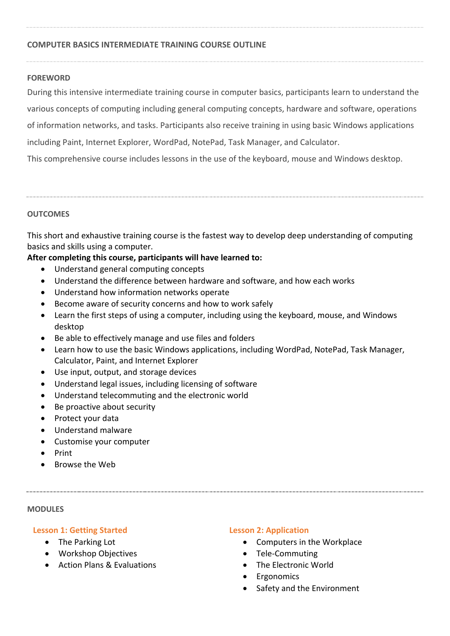## **COMPUTER BASICS INTERMEDIATE TRAINING COURSE OUTLINE**

## **FOREWORD**

During this intensive intermediate training course in computer basics, participants learn to understand the various concepts of computing including general computing concepts, hardware and software, operations of information networks, and tasks. Participants also receive training in using basic Windows applications including Paint, Internet Explorer, WordPad, NotePad, Task Manager, and Calculator. This comprehensive course includes lessons in the use of the keyboard, mouse and Windows desktop.

#### **OUTCOMES**

This short and exhaustive training course is the fastest way to develop deep understanding of computing basics and skills using a computer.

## **After completing this course, participants will have learned to:**

- Understand general computing concepts
- Understand the difference between hardware and software, and how each works
- Understand how information networks operate
- Become aware of security concerns and how to work safely
- Learn the first steps of using a computer, including using the keyboard, mouse, and Windows desktop
- Be able to effectively manage and use files and folders
- Learn how to use the basic Windows applications, including WordPad, NotePad, Task Manager, Calculator, Paint, and Internet Explorer
- Use input, output, and storage devices
- Understand legal issues, including licensing of software
- Understand telecommuting and the electronic world
- Be proactive about security
- Protect your data
- Understand malware
- Customise your computer
- Print
- Browse the Web

#### **MODULES**

## **Lesson 1: Getting Started**

- The Parking Lot
- Workshop Objectives
- Action Plans & Evaluations

## **Lesson 2: Application**

- Computers in the Workplace
- Tele-Commuting
- The Electronic World
- Ergonomics
- Safety and the Environment